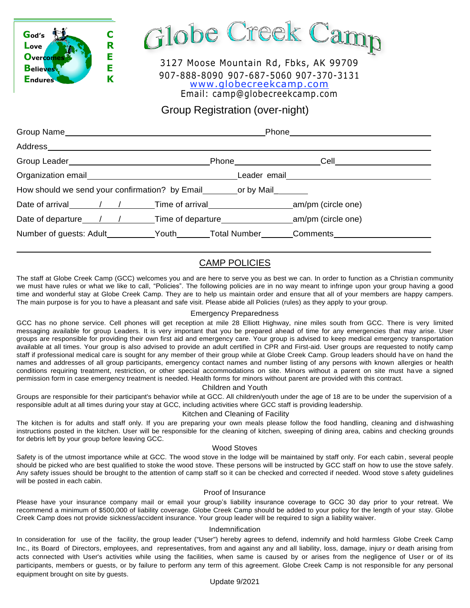

Globe Creek Camp

3127 Moose Mountain Rd, Fbks, AK 99709 907-888-8090 907-687-5060 907-370-3131 [www.globecreekcamp.com](http://www.globecreekcamp.com/) Email: camp@globecreekcamp.com

Group Registration (over-night)

|                                                                                  | Phone <u>example and the set of the set of the set of the set of the set of the set of the set of the set of the set of the set of the set of the set of the set of the set of the set of the set of the set of the set of the s</u> |      |  |
|----------------------------------------------------------------------------------|--------------------------------------------------------------------------------------------------------------------------------------------------------------------------------------------------------------------------------------|------|--|
| Address______                                                                    |                                                                                                                                                                                                                                      |      |  |
|                                                                                  | Phone ______________                                                                                                                                                                                                                 | Cell |  |
|                                                                                  | Leader email <b>Exercise Serverse</b>                                                                                                                                                                                                |      |  |
| How should we send your confirmation? by Email or by Mail                        |                                                                                                                                                                                                                                      |      |  |
| Date of arrival / / / Time of arrival am/pm (circle one)                         |                                                                                                                                                                                                                                      |      |  |
| Date of departure 1 / / Time of departure 10 mm/pm (circle one)                  |                                                                                                                                                                                                                                      |      |  |
| Number of guests: Adult__________Youth_______Total Number_______Comments________ |                                                                                                                                                                                                                                      |      |  |

# CAMP POLICIES

The staff at Globe Creek Camp (GCC) welcomes you and are here to serve you as best we can. In order to function as a Christian community we must have rules or what we like to call, "Policies". The following policies are in no way meant to infringe upon your group having a good time and wonderful stay at Globe Creek Camp. They are to help us maintain order and ensure that all of your members are happy campers. The main purpose is for you to have a pleasant and safe visit. Please abide all Policies (rules) as they apply to your group.

### Emergency Preparedness

GCC has no phone service. Cell phones will get reception at mile 28 Elliott Highway, nine miles south from GCC. There is very limited messaging available for group Leaders. It is very important that you be prepared ahead of time for any emergencies that may arise. User groups are responsible for providing their own first aid and emergency care. Your group is advised to keep medical emergency transportation available at all times. Your group is also advised to provide an adult certified in CPR and First-aid. User groups are requested to notify camp staff if professional medical care is sought for any member of their group while at Globe Creek Camp. Group leaders should ha ve on hand the names and addresses of all group participants, emergency contact names and number listing of any persons with known allergies or health conditions requiring treatment, restriction, or other special accommodations on site. Minors without a parent on site must have a signed permission form in case emergency treatment is needed. Health forms for minors without parent are provided with this contract.

Children and Youth

Groups are responsible for their participant's behavior while at GCC. All children/youth under the age of 18 are to be under the supervision of a responsible adult at all times during your stay at GCC, including activities where GCC staff is providing leadership.

### Kitchen and Cleaning of Facility

The kitchen is for adults and staff only. If you are preparing your own meals please follow the food handling, cleaning and dishwashing instructions posted in the kitchen. User will be responsible for the cleaning of kitchen, sweeping of dining area, cabins and checking grounds for debris left by your group before leaving GCC.

#### Wood Stoves

Safety is of the utmost importance while at GCC. The wood stove in the lodge will be maintained by staff only. For each cabin, several people should be picked who are best qualified to stoke the wood stove. These persons will be instructed by GCC staff on how to use the stove safely. Any safety issues should be brought to the attention of camp staff so it can be checked and corrected if needed. Wood stove s afety guidelines will be posted in each cabin.

#### Proof of Insurance

Please have your insurance company mail or email your group's liability insurance coverage to GCC 30 day prior to your retreat. We recommend a minimum of \$500,000 of liability coverage. Globe Creek Camp should be added to your policy for the length of your stay. Globe Creek Camp does not provide sickness/accident insurance. Your group leader will be required to sign a liability waiver.

#### Indemnification

In consideration for use of the facility, the group leader ("User") hereby agrees to defend, indemnify and hold harmless Globe Creek Camp Inc., its Board of Directors, employees, and representatives, from and against any and all liability, loss, damage, injury or death arising from acts connected with User's activities while using the facilities, when same is caused by or arises from the negligence of User or of its participants, members or guests, or by failure to perform any term of this agreement. Globe Creek Camp is not responsible for any personal equipment brought on site by guests.